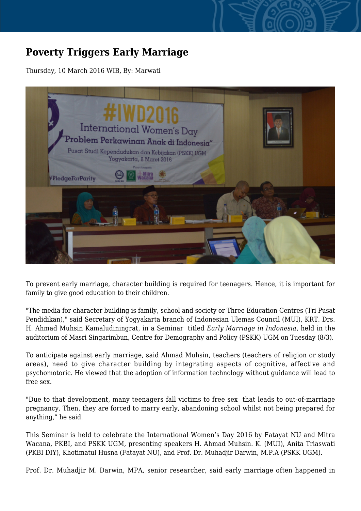## **Poverty Triggers Early Marriage**

Thursday, 10 March 2016 WIB, By: Marwati



To prevent early marriage, character building is required for teenagers. Hence, it is important for family to give good education to their children.

"The media for character building is family, school and society or Three Education Centres (Tri Pusat Pendidikan)," said Secretary of Yogyakarta branch of Indonesian Ulemas Council (MUI), KRT. Drs. H. Ahmad Muhsin Kamaludiningrat, in a Seminar titled *Early Marriage in Indonesia*, held in the auditorium of Masri Singarimbun, Centre for Demography and Policy (PSKK) UGM on Tuesday (8/3).

To anticipate against early marriage, said Ahmad Muhsin, teachers (teachers of religion or study areas), need to give character building by integrating aspects of cognitive, affective and psychomotoric. He viewed that the adoption of information technology without guidance will lead to free sex.

"Due to that development, many teenagers fall victims to free sex that leads to out-of-marriage pregnancy. Then, they are forced to marry early, abandoning school whilst not being prepared for anything," he said.

This Seminar is held to celebrate the International Women's Day 2016 by Fatayat NU and Mitra Wacana, PKBI, and PSKK UGM, presenting speakers H. Ahmad Muhsin. K. (MUI), Anita Triaswati (PKBI DIY), Khotimatul Husna (Fatayat NU), and Prof. Dr. Muhadjir Darwin, M.P.A (PSKK UGM).

Prof. Dr. Muhadjir M. Darwin, MPA, senior researcher, said early marriage often happened in